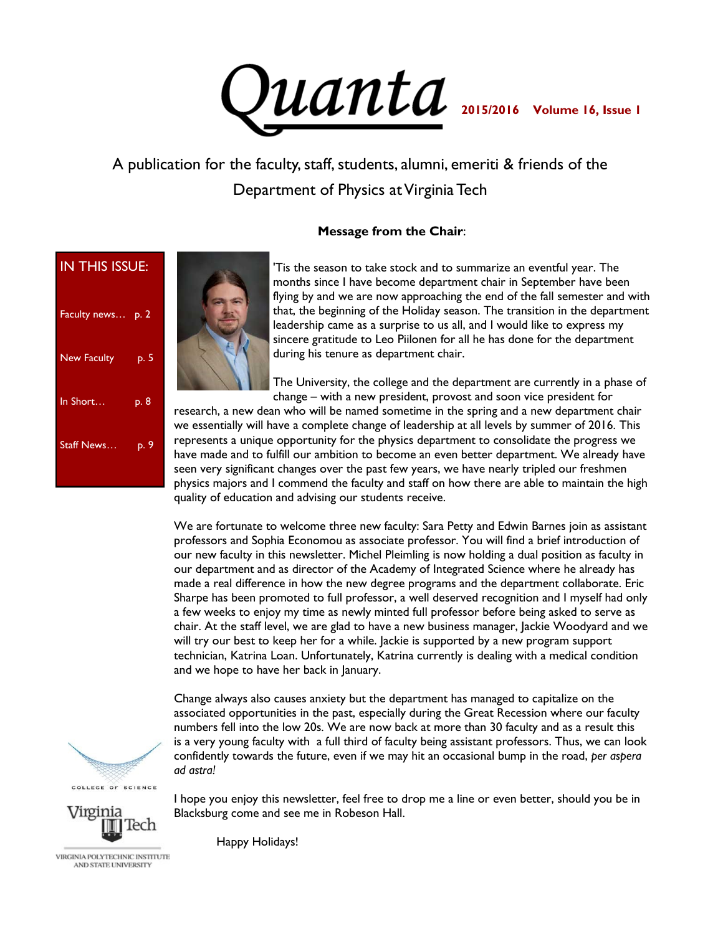

## A publication for the faculty, staff, students, alumni, emeriti & friends of the Department of Physics at Virginia Tech

#### **Message from the Chair**:

| <b>IN THIS ISSUE:</b> |      |             |
|-----------------------|------|-------------|
| Faculty news p. 2     |      |             |
| New Faculty           | p. 5 |             |
| In Short              | p. 8 | r           |
| Staff News            | p. 9 | ٧<br>r<br>ŀ |
|                       |      | s<br>г      |



'Tis the season to take stock and to summarize an eventful year. The months since I have become department chair in September have been flying by and we are now approaching the end of the fall semester and with that, the beginning of the Holiday season. The transition in the department leadership came as a surprise to us all, and I would like to express my sincere gratitude to Leo Piilonen for all he has done for the department during his tenure as department chair.

The University, the college and the department are currently in a phase of change – with a new president, provost and soon vice president for

research, a new dean who will be named sometime in the spring and a new department chair we essentially will have a complete change of leadership at all levels by summer of 2016. This represents a unique opportunity for the physics department to consolidate the progress we have made and to fulfill our ambition to become an even better department. We already have seen very significant changes over the past few years, we have nearly tripled our freshmen physics majors and I commend the faculty and staff on how there are able to maintain the high quality of education and advising our students receive.

We are fortunate to welcome three new faculty: Sara Petty and Edwin Barnes join as assistant professors and Sophia Economou as associate professor. You will find a brief introduction of our new faculty in this newsletter. Michel Pleimling is now holding a dual position as faculty in our department and as director of the Academy of Integrated Science where he already has made a real difference in how the new degree programs and the department collaborate. Eric Sharpe has been promoted to full professor, a well deserved recognition and I myself had only a few weeks to enjoy my time as newly minted full professor before being asked to serve as chair. At the staff level, we are glad to have a new business manager, Jackie Woodyard and we will try our best to keep her for a while. Jackie is supported by a new program support technician, Katrina Loan. Unfortunately, Katrina currently is dealing with a medical condition and we hope to have her back in January.

Change always also causes anxiety but the department has managed to capitalize on the associated opportunities in the past, especially during the Great Recession where our faculty numbers fell into the low 20s. We are now back at more than 30 faculty and as a result this is a very young faculty with a full third of faculty being assistant professors. Thus, we can look confidently towards the future, even if we may hit an occasional bump in the road, *per aspera ad astra!*

COLLEGE OF SCIENCE

Virginia

I hope you enjoy this newsletter, feel free to drop me a line or even better, should you be in Blacksburg come and see me in Robeson Hall.

VIRGINIA POLYTECHNIC INSTITUTE AND STATE UNIVERSITY

Happy Holidays!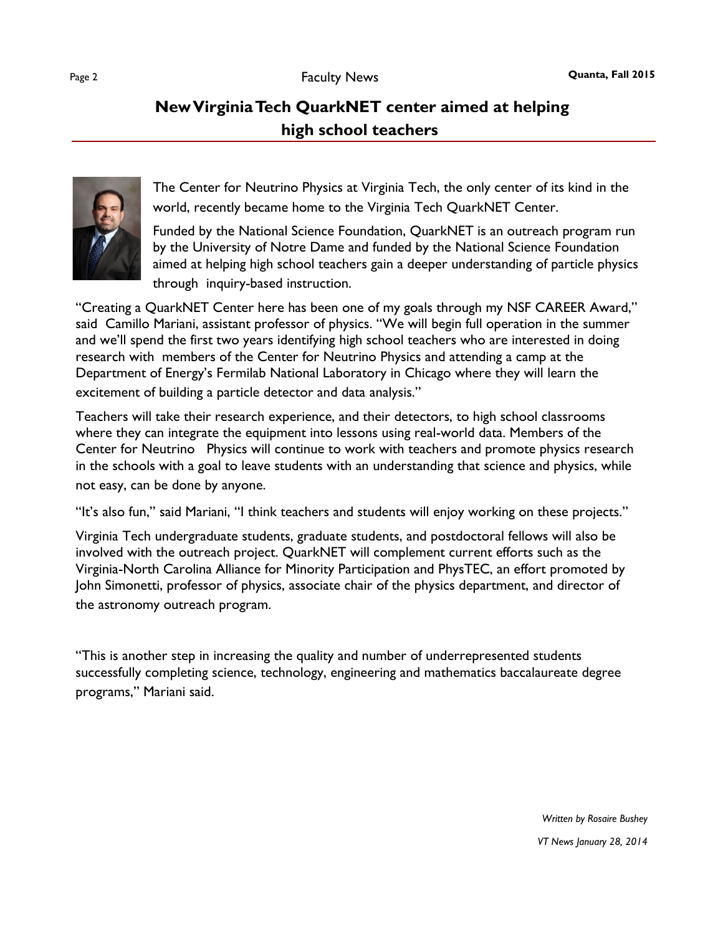

The Center for Neutrino Physics at Virginia Tech, the only center of its kind in the world, recently became home to the Virginia Tech QuarkNET Center.

Funded by the National Science Foundation, QuarkNET is an outreach program run by the University of Notre Dame and funded by the National Science Foundation aimed at helping high school teachers gain a deeper understanding of particle physics through inquiry-based instruction.

"Creating a QuarkNET Center here has been one of my goals through my NSF CAREER Award," said Camillo Mariani, assistant professor of physics. "We will begin full operation in the summer and we'll spend the first two years identifying high school teachers who are interested in doing research with members of the Center for Neutrino Physics and attending a camp at the Department of Energy's Fermilab National Laboratory in Chicago where they will learn the excitement of building a particle detector and data analysis."

Teachers will take their research experience, and their detectors, to high school classrooms where they can integrate the equipment into lessons using real-world data. Members of the Center for Neutrino Physics will continue to work with teachers and promote physics research in the schools with a goal to leave students with an understanding that science and physics, while not easy, can be done by anyone.

"It's also fun," said Mariani, "I think teachers and students will enjoy working on these projects."

Virginia Tech undergraduate students, graduate students, and postdoctoral fellows will also be involved with the outreach project. QuarkNET will complement current efforts such as the Virginia-North Carolina Alliance for Minority Participation and PhysTEC, an effort promoted by John Simonetti, professor of physics, associate chair of the physics department, and director of the astronomy outreach program.

"This is another step in increasing the quality and number of underrepresented students successfully completing science, technology, engineering and mathematics baccalaureate degree programs," Mariani said.

*VT News January 28, 2014*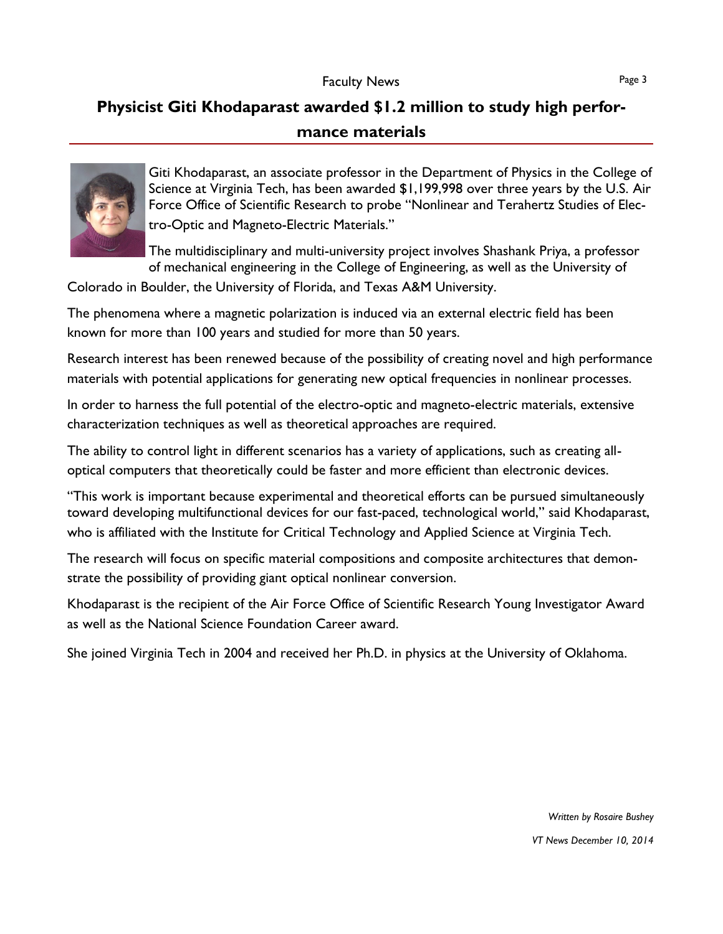## **Physicist Giti Khodaparast awarded \$1.2 million to study high performance materials**



Giti Khodaparast, an associate professor in the Department of Physics in the College of Science at Virginia Tech, has been awarded \$1,199,998 over three years by the U.S. Air Force Office of Scientific Research to probe "Nonlinear and Terahertz Studies of Electro-Optic and Magneto-Electric Materials."

The multidisciplinary and multi-university project involves Shashank Priya, a professor of mechanical engineering in the College of Engineering, as well as the University of

Colorado in Boulder, the University of Florida, and Texas A&M University.

The phenomena where a magnetic polarization is induced via an external electric field has been known for more than 100 years and studied for more than 50 years.

Research interest has been renewed because of the possibility of creating novel and high performance materials with potential applications for generating new optical frequencies in nonlinear processes.

In order to harness the full potential of the electro-optic and magneto-electric materials, extensive characterization techniques as well as theoretical approaches are required.

The ability to control light in different scenarios has a variety of applications, such as creating alloptical computers that theoretically could be faster and more efficient than electronic devices.

"This work is important because experimental and theoretical efforts can be pursued simultaneously toward developing multifunctional devices for our fast-paced, technological world," said Khodaparast, who is affiliated with the Institute for Critical Technology and Applied Science at Virginia Tech.

The research will focus on specific material compositions and composite architectures that demonstrate the possibility of providing giant optical nonlinear conversion.

Khodaparast is the recipient of the Air Force Office of Scientific Research Young Investigator Award as well as the National Science Foundation Career award.

She joined Virginia Tech in 2004 and received her Ph.D. in physics at the University of Oklahoma.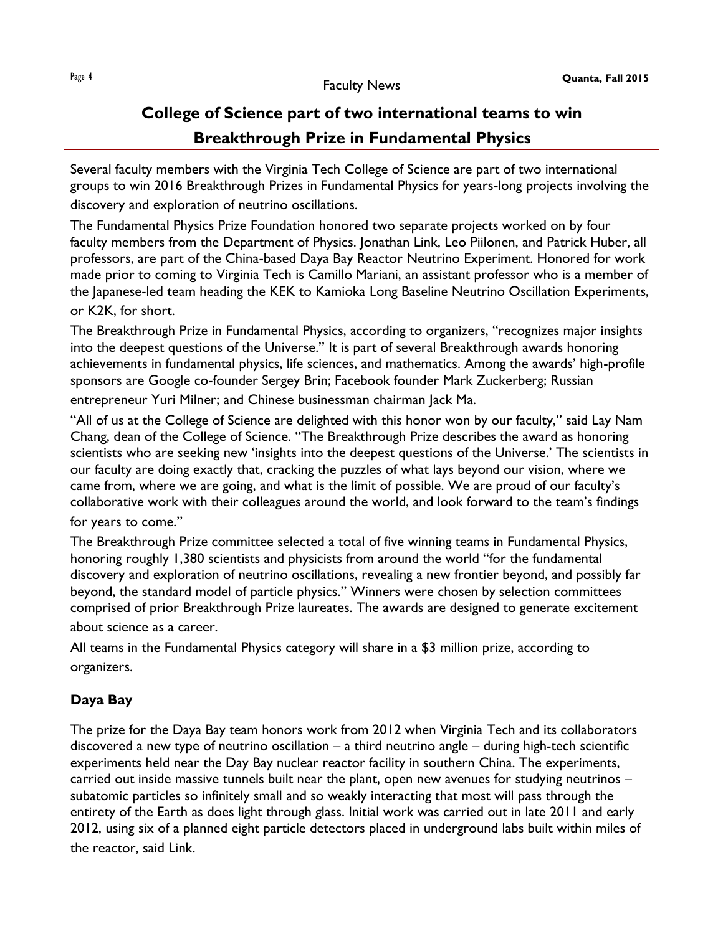# **College of Science part of two international teams to win Breakthrough Prize in Fundamental Physics**

Several faculty members with the Virginia Tech College of Science are part of two international groups to win 2016 Breakthrough Prizes in Fundamental Physics for years-long projects involving the discovery and exploration of neutrino oscillations.

The Fundamental Physics Prize Foundation honored two separate projects worked on by four faculty members from the Department of Physics. Jonathan Link, Leo Piilonen, and Patrick Huber, all professors, are part of the China-based Daya Bay Reactor Neutrino Experiment. Honored for work made prior to coming to Virginia Tech is Camillo Mariani, an assistant professor who is a member of the Japanese-led team heading the KEK to Kamioka Long Baseline Neutrino Oscillation Experiments,

#### or K2K, for short.

The Breakthrough Prize in Fundamental Physics, according to organizers, "recognizes major insights into the deepest questions of the Universe." It is part of several Breakthrough awards honoring achievements in fundamental physics, life sciences, and mathematics. Among the awards' high-profile sponsors are Google co-founder Sergey Brin; Facebook founder Mark Zuckerberg; Russian entrepreneur Yuri Milner; and Chinese businessman chairman Jack Ma.

"All of us at the College of Science are delighted with this honor won by our faculty," said Lay Nam Chang, dean of the College of Science. "The Breakthrough Prize describes the award as honoring scientists who are seeking new 'insights into the deepest questions of the Universe.' The scientists in our faculty are doing exactly that, cracking the puzzles of what lays beyond our vision, where we came from, where we are going, and what is the limit of possible. We are proud of our faculty's collaborative work with their colleagues around the world, and look forward to the team's findings for years to come."

The Breakthrough Prize committee selected a total of five winning teams in Fundamental Physics, honoring roughly 1,380 scientists and physicists from around the world "for the fundamental discovery and exploration of neutrino oscillations, revealing a new frontier beyond, and possibly far beyond, the standard model of particle physics." Winners were chosen by selection committees comprised of prior Breakthrough Prize laureates. The awards are designed to generate excitement about science as a career.

All teams in the Fundamental Physics category will share in a \$3 million prize, according to organizers.

### **Daya Bay**

The prize for the Daya Bay team honors work from 2012 when Virginia Tech and its collaborators discovered a new type of neutrino oscillation – a third neutrino angle – during high-tech scientific experiments held near the Day Bay nuclear reactor facility in southern China. The experiments, carried out inside massive tunnels built near the plant, open new avenues for studying neutrinos – subatomic particles so infinitely small and so weakly interacting that most will pass through the entirety of the Earth as does light through glass. Initial work was carried out in late 2011 and early 2012, using six of a planned eight particle detectors placed in underground labs built within miles of the reactor, said Link.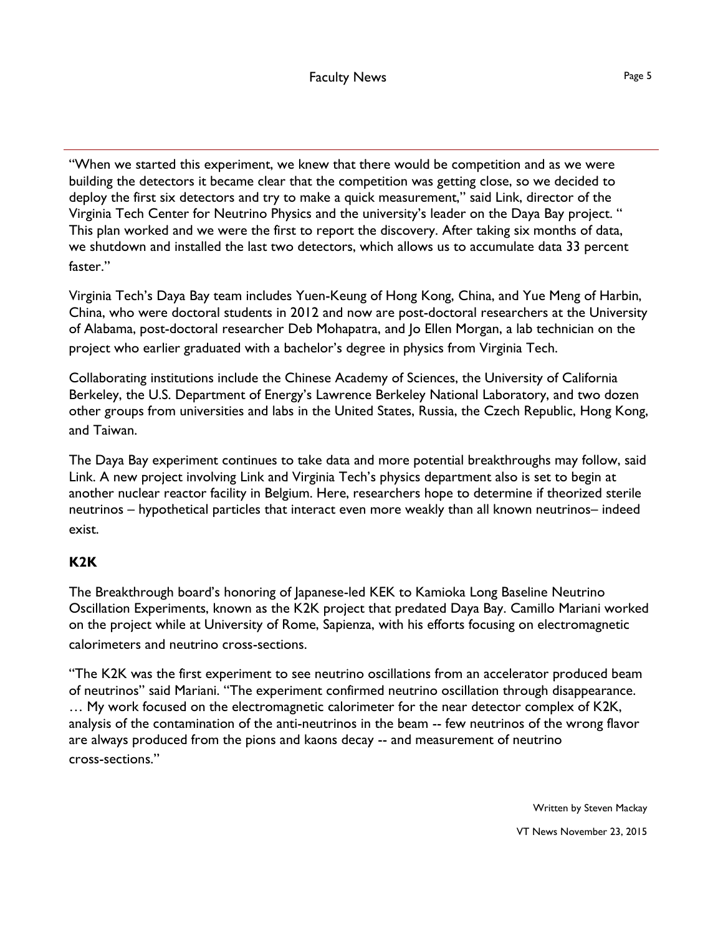"When we started this experiment, we knew that there would be competition and as we were building the detectors it became clear that the competition was getting close, so we decided to deploy the first six detectors and try to make a quick measurement," said Link, director of the Virginia Tech Center for Neutrino Physics and the university's leader on the Daya Bay project. " This plan worked and we were the first to report the discovery. After taking six months of data, we shutdown and installed the last two detectors, which allows us to accumulate data 33 percent faster"

Virginia Tech's Daya Bay team includes Yuen-Keung of Hong Kong, China, and Yue Meng of Harbin, China, who were doctoral students in 2012 and now are post-doctoral researchers at the University of Alabama, post-doctoral researcher Deb Mohapatra, and Jo Ellen Morgan, a lab technician on the project who earlier graduated with a bachelor's degree in physics from Virginia Tech.

Collaborating institutions include the Chinese Academy of Sciences, the University of California Berkeley, the U.S. Department of Energy's Lawrence Berkeley National Laboratory, and two dozen other groups from universities and labs in the United States, Russia, the Czech Republic, Hong Kong, and Taiwan.

The Daya Bay experiment continues to take data and more potential breakthroughs may follow, said Link. A new project involving Link and Virginia Tech's physics department also is set to begin at another nuclear reactor facility in Belgium. Here, researchers hope to determine if theorized sterile neutrinos – hypothetical particles that interact even more weakly than all known neutrinos– indeed exist.

#### **K2K**

The Breakthrough board's honoring of Japanese-led KEK to Kamioka Long Baseline Neutrino Oscillation Experiments, known as the K2K project that predated Daya Bay. Camillo Mariani worked on the project while at University of Rome, Sapienza, with his efforts focusing on electromagnetic calorimeters and neutrino cross-sections.

"The K2K was the first experiment to see neutrino oscillations from an accelerator produced beam of neutrinos" said Mariani. "The experiment confirmed neutrino oscillation through disappearance. … My work focused on the electromagnetic calorimeter for the near detector complex of K2K, analysis of the contamination of the anti-neutrinos in the beam -- few neutrinos of the wrong flavor are always produced from the pions and kaons decay -- and measurement of neutrino cross-sections."

> Written by Steven Mackay VT News November 23, 2015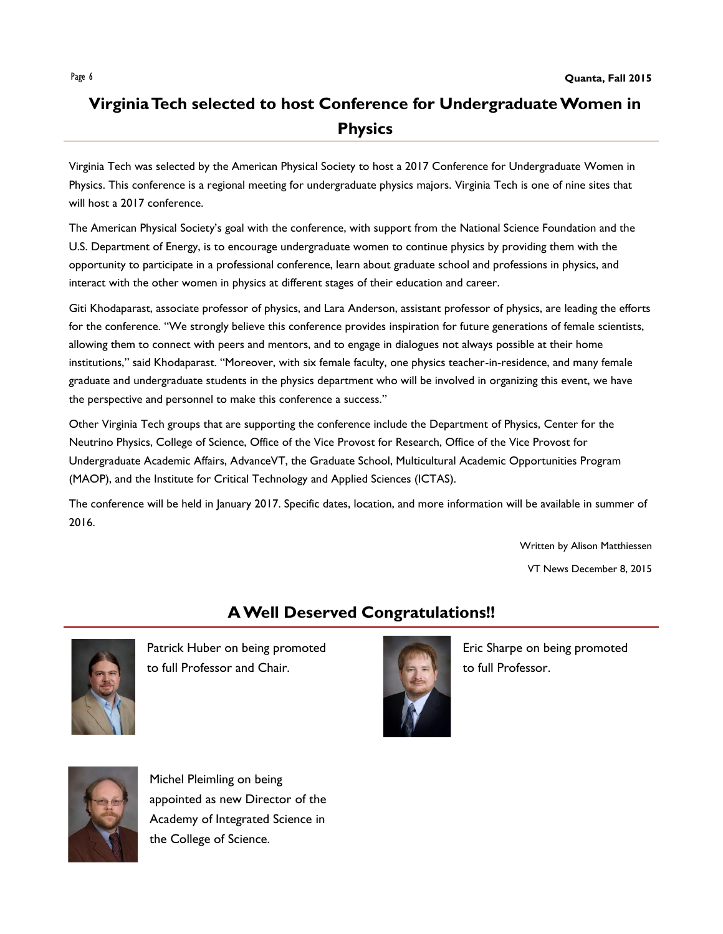## **Virginia Tech selected to host Conference for Undergraduate Women in Physics**

Virginia Tech was selected by the American Physical Society to host a 2017 Conference for Undergraduate Women in Physics. This conference is a regional meeting for undergraduate physics majors. Virginia Tech is one of nine sites that will host a 2017 conference.

The American Physical Society's goal with the conference, with support from the National Science Foundation and the U.S. Department of Energy, is to encourage undergraduate women to continue physics by providing them with the opportunity to participate in a professional conference, learn about graduate school and professions in physics, and interact with the other women in physics at different stages of their education and career.

Giti Khodaparast, associate professor of physics, and Lara Anderson, assistant professor of physics, are leading the efforts for the conference. "We strongly believe this conference provides inspiration for future generations of female scientists, allowing them to connect with peers and mentors, and to engage in dialogues not always possible at their home institutions," said Khodaparast. "Moreover, with six female faculty, one physics teacher-in-residence, and many female graduate and undergraduate students in the physics department who will be involved in organizing this event, we have the perspective and personnel to make this conference a success."

Other Virginia Tech groups that are supporting the conference include the Department of Physics, Center for the Neutrino Physics, College of Science, Office of the Vice Provost for Research, Office of the Vice Provost for Undergraduate Academic Affairs, AdvanceVT, the Graduate School, Multicultural Academic Opportunities Program (MAOP), and the Institute for Critical Technology and Applied Sciences (ICTAS).

The conference will be held in January 2017. Specific dates, location, and more information will be available in summer of 2016.

> Written by Alison Matthiessen VT News December 8, 2015

## **A Well Deserved Congratulations!!**



Patrick Huber on being promoted to full Professor and Chair.



Eric Sharpe on being promoted to full Professor.



Michel Pleimling on being appointed as new Director of the Academy of Integrated Science in the College of Science.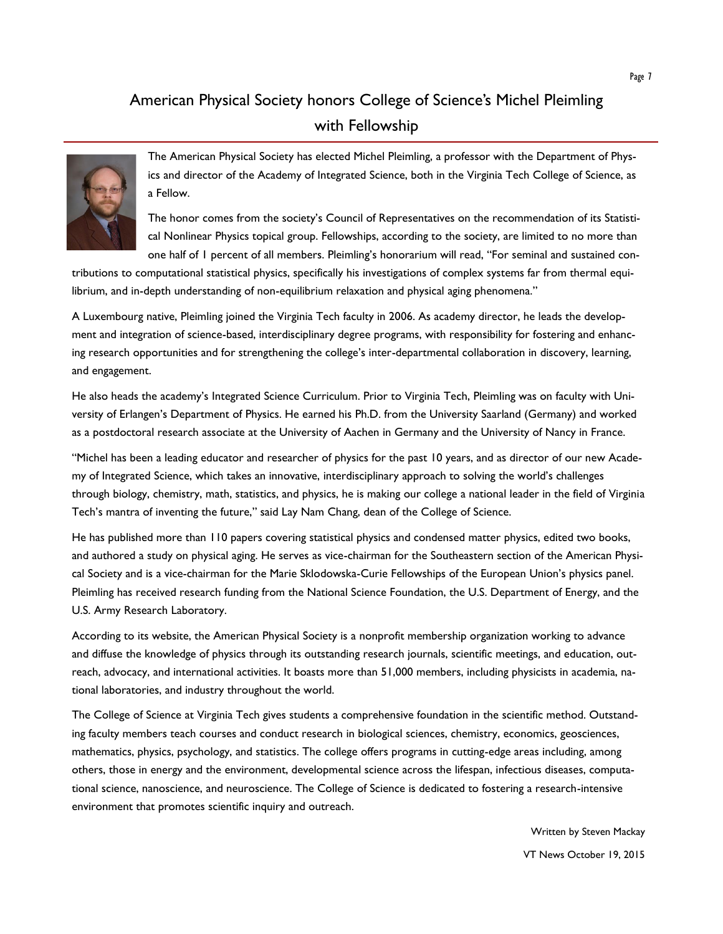## American Physical Society honors College of Science's Michel Pleimling with Fellowship



The American Physical Society has elected Michel Pleimling, a professor with the Department of Physics and director of the Academy of Integrated Science, both in the Virginia Tech College of Science, as a Fellow.

The honor comes from the society's Council of Representatives on the recommendation of its Statistical Nonlinear Physics topical group. Fellowships, according to the society, are limited to no more than one half of 1 percent of all members. Pleimling's honorarium will read, "For seminal and sustained con-

tributions to computational statistical physics, specifically his investigations of complex systems far from thermal equilibrium, and in-depth understanding of non-equilibrium relaxation and physical aging phenomena."

A Luxembourg native, Pleimling joined the Virginia Tech faculty in 2006. As academy director, he leads the development and integration of science-based, interdisciplinary degree programs, with responsibility for fostering and enhancing research opportunities and for strengthening the college's inter-departmental collaboration in discovery, learning, and engagement.

He also heads the academy's Integrated Science Curriculum. Prior to Virginia Tech, Pleimling was on faculty with University of Erlangen's Department of Physics. He earned his Ph.D. from the University Saarland (Germany) and worked as a postdoctoral research associate at the University of Aachen in Germany and the University of Nancy in France.

"Michel has been a leading educator and researcher of physics for the past 10 years, and as director of our new Academy of Integrated Science, which takes an innovative, interdisciplinary approach to solving the world's challenges through biology, chemistry, math, statistics, and physics, he is making our college a national leader in the field of Virginia Tech's mantra of inventing the future," said Lay Nam Chang, dean of the College of Science.

He has published more than 110 papers covering statistical physics and condensed matter physics, edited two books, and authored a study on physical aging. He serves as vice-chairman for the Southeastern section of the American Physical Society and is a vice-chairman for the Marie Sklodowska-Curie Fellowships of the European Union's physics panel. Pleimling has received research funding from the National Science Foundation, the U.S. Department of Energy, and the U.S. Army Research Laboratory.

According to its website, the American Physical Society is a nonprofit membership organization working to advance and diffuse the knowledge of physics through its outstanding research journals, scientific meetings, and education, outreach, advocacy, and international activities. It boasts more than 51,000 members, including physicists in academia, national laboratories, and industry throughout the world.

The College of Science at Virginia Tech gives students a comprehensive foundation in the scientific method. Outstanding faculty members teach courses and conduct research in biological sciences, chemistry, economics, geosciences, mathematics, physics, psychology, and statistics. The college offers programs in cutting-edge areas including, among others, those in energy and the environment, developmental science across the lifespan, infectious diseases, computational science, nanoscience, and neuroscience. The College of Science is dedicated to fostering a research-intensive environment that promotes scientific inquiry and outreach.

> Written by Steven Mackay VT News October 19, 2015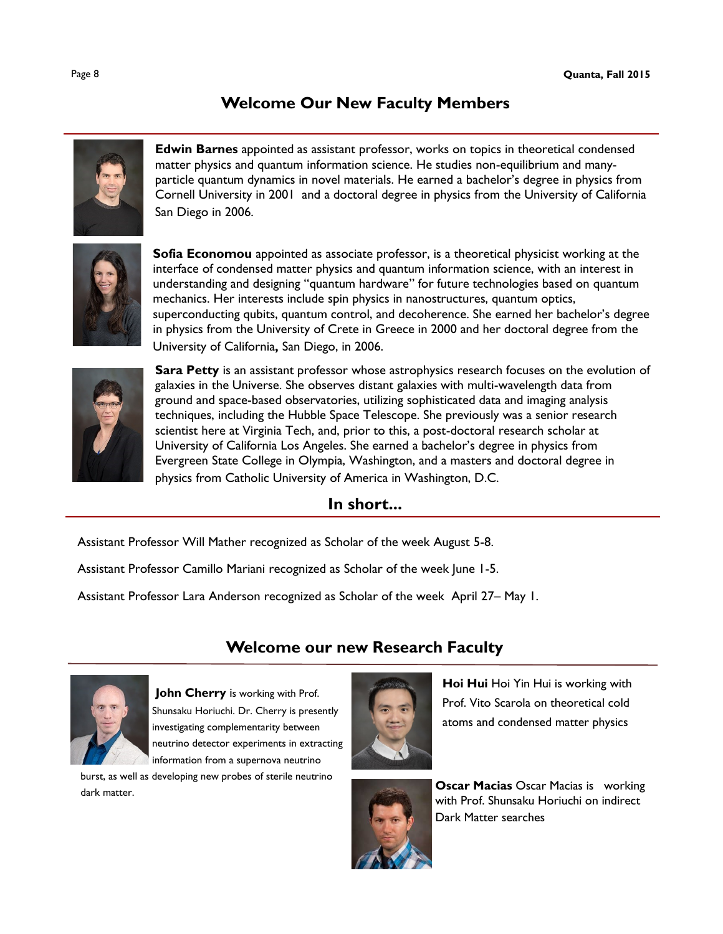## **Welcome Our New Faculty Members**



**Edwin Barnes** appointed as assistant professor, works on topics in theoretical condensed matter physics and quantum information science. He studies non-equilibrium and manyparticle quantum dynamics in novel materials. He earned a bachelor's degree in physics from Cornell University in 2001 and a doctoral degree in physics from the University of California San Diego in 2006.



**Sofia Economou** appointed as associate professor, is a theoretical physicist working at the interface of condensed matter physics and quantum information science, with an interest in understanding and designing "quantum hardware" for future technologies based on quantum mechanics. Her interests include spin physics in nanostructures, quantum optics, superconducting qubits, quantum control, and decoherence. She earned her bachelor's degree in physics from the University of Crete in Greece in 2000 and her doctoral degree from the University of California**,** San Diego, in 2006.



**Sara Petty** is an assistant professor whose astrophysics research focuses on the evolution of galaxies in the Universe. She observes distant galaxies with multi-wavelength data from ground and space-based observatories, utilizing sophisticated data and imaging analysis techniques, including the Hubble Space Telescope. She previously was a senior research scientist here at Virginia Tech, and, prior to this, a post-doctoral research scholar at University of California Los Angeles. She earned a bachelor's degree in physics from Evergreen State College in Olympia, Washington, and a masters and doctoral degree in physics from Catholic University of America in Washington, D.C.

#### **In short...**

Assistant Professor Will Mather recognized as Scholar of the week August 5-8.

Assistant Professor Camillo Mariani recognized as Scholar of the week June 1-5.

Assistant Professor Lara Anderson recognized as Scholar of the week April 27– May 1.

## **Welcome our new Research Faculty**



**John Cherry** is working with Prof. Shunsaku Horiuchi. Dr. Cherry is presently investigating complementarity between neutrino detector experiments in extracting information from a supernova neutrino

burst, as well as developing new probes of sterile neutrino dark matter. **Oscar Macias** Oscar Macias is working



**Hoi Hui** Hoi Yin Hui is working with Prof. Vito Scarola on theoretical cold atoms and condensed matter physics



with Prof. Shunsaku Horiuchi on indirect Dark Matter searches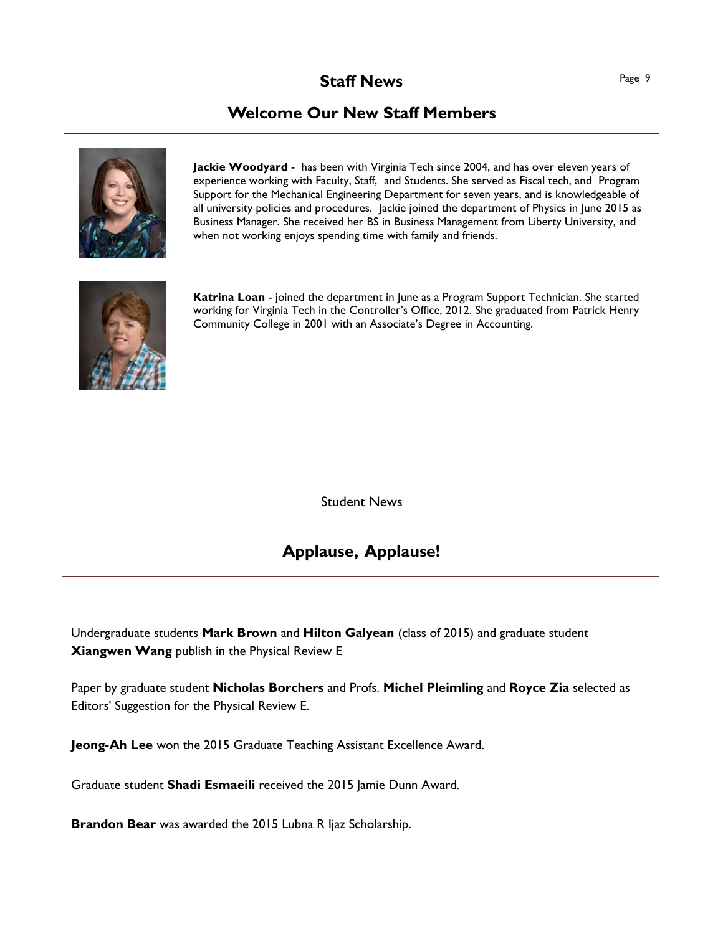### **Staff News** Page 9

## **Welcome Our New Staff Members**



**Jackie Woodyard** - has been with Virginia Tech since 2004, and has over eleven years of experience working with Faculty, Staff, and Students. She served as Fiscal tech, and Program Support for the Mechanical Engineering Department for seven years, and is knowledgeable of all university policies and procedures. Jackie joined the department of Physics in June 2015 as Business Manager. She received her BS in Business Management from Liberty University, and when not working enjoys spending time with family and friends.



**Katrina Loan** - joined the department in June as a Program Support Technician. She started working for Virginia Tech in the Controller's Office, 2012. She graduated from Patrick Henry Community College in 2001 with an Associate's Degree in Accounting.

Student News

### **Applause, Applause!**

Undergraduate students **Mark Brown** and **Hilton Galyean** (class of 2015) and graduate student **Xiangwen Wang** publish in the Physical Review E

Paper by graduate student **Nicholas Borchers** and Profs. **Michel Pleimling** and **Royce Zia** selected as Editors' Suggestion for the Physical Review E.

**Jeong-Ah Lee** won the 2015 Graduate Teaching Assistant Excellence Award.

Graduate student **Shadi Esmaeili** received the 2015 Jamie Dunn Award*.*

**Brandon Bear** was awarded the 2015 Lubna R Ijaz Scholarship.